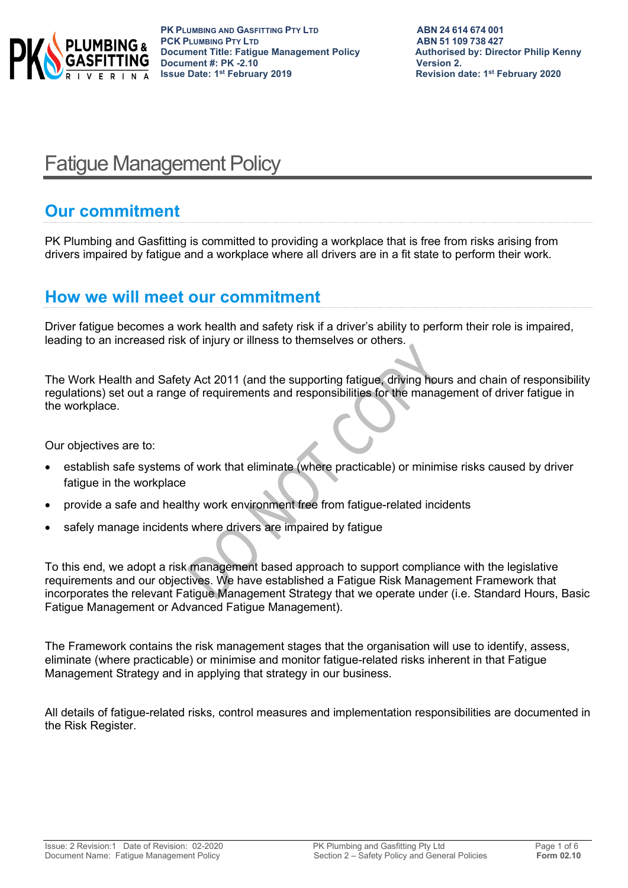

# Fatigue Management Policy

# **Our commitment**

PK Plumbing and Gasfitting is committed to providing a workplace that is free from risks arising from drivers impaired by fatigue and a workplace where all drivers are in a fit state to perform their work.

### **How we will meet our commitment**

Driver fatigue becomes a work health and safety risk if a driver's ability to perform their role is impaired, leading to an increased risk of injury or illness to themselves or others.

The Work Health and Safety Act 2011 (and the supporting fatigue, driving hours and chain of responsibility regulations) set out a range of requirements and responsibilities for the management of driver fatigue in the workplace.

Our objectives are to:

- establish safe systems of work that eliminate (where practicable) or minimise risks caused by driver fatigue in the workplace
- provide a safe and healthy work environment free from fatigue-related incidents
- safely manage incidents where drivers are impaired by fatigue

To this end, we adopt a risk management based approach to support compliance with the legislative requirements and our objectives. We have established a Fatigue Risk Management Framework that incorporates the relevant Fatigue Management Strategy that we operate under (i.e. Standard Hours, Basic Fatigue Management or Advanced Fatigue Management).

The Framework contains the risk management stages that the organisation will use to identify, assess, eliminate (where practicable) or minimise and monitor fatigue-related risks inherent in that Fatigue Management Strategy and in applying that strategy in our business.

All details of fatigue-related risks, control measures and implementation responsibilities are documented in the Risk Register.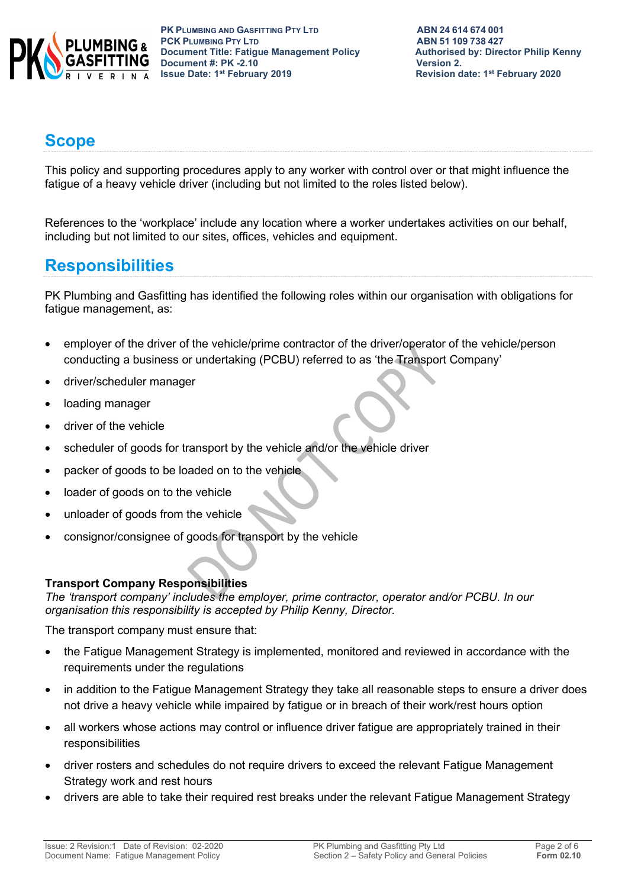

# **Scope**

This policy and supporting procedures apply to any worker with control over or that might influence the fatigue of a heavy vehicle driver (including but not limited to the roles listed below).

References to the 'workplace' include any location where a worker undertakes activities on our behalf, including but not limited to our sites, offices, vehicles and equipment.

# **Responsibilities**

PK Plumbing and Gasfitting has identified the following roles within our organisation with obligations for fatigue management, as:

- employer of the driver of the vehicle/prime contractor of the driver/operator of the vehicle/person conducting a business or undertaking (PCBU) referred to as 'the Transport Company'
- driver/scheduler manager
- loading manager
- driver of the vehicle
- scheduler of goods for transport by the vehicle and/or the vehicle driver
- packer of goods to be loaded on to the vehicle
- loader of goods on to the vehicle
- unloader of goods from the vehicle
- consignor/consignee of goods for transport by the vehicle

### **Transport Company Responsibilities**

*The 'transport company' includes the employer, prime contractor, operator and/or PCBU. In our organisation this responsibility is accepted by Philip Kenny, Director.*

The transport company must ensure that:

- the Fatigue Management Strategy is implemented, monitored and reviewed in accordance with the requirements under the regulations
- in addition to the Fatigue Management Strategy they take all reasonable steps to ensure a driver does not drive a heavy vehicle while impaired by fatigue or in breach of their work/rest hours option
- all workers whose actions may control or influence driver fatigue are appropriately trained in their responsibilities
- driver rosters and schedules do not require drivers to exceed the relevant Fatigue Management Strategy work and rest hours
- drivers are able to take their required rest breaks under the relevant Fatigue Management Strategy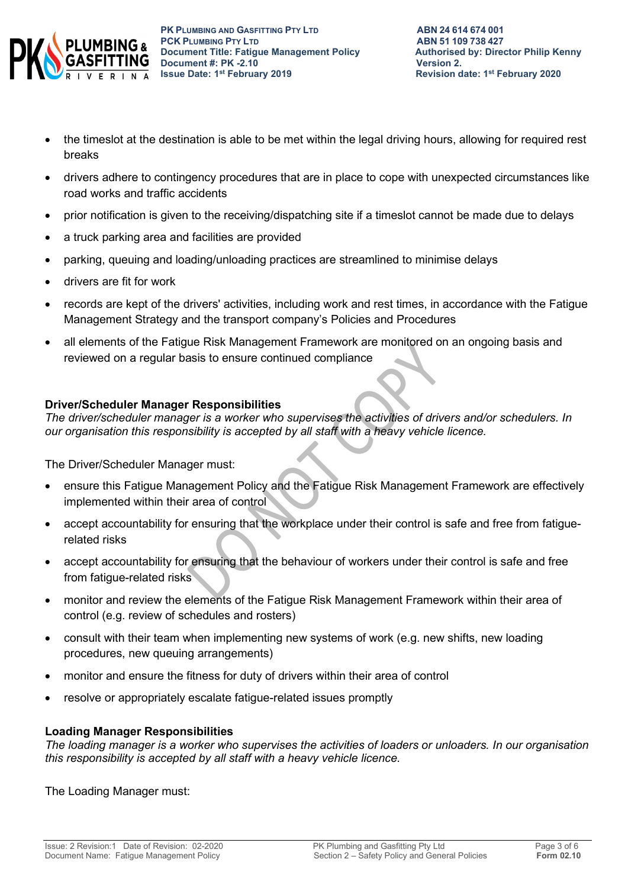

- the timeslot at the destination is able to be met within the legal driving hours, allowing for required rest breaks
- drivers adhere to contingency procedures that are in place to cope with unexpected circumstances like road works and traffic accidents
- prior notification is given to the receiving/dispatching site if a timeslot cannot be made due to delays
- a truck parking area and facilities are provided
- parking, queuing and loading/unloading practices are streamlined to minimise delays
- drivers are fit for work
- records are kept of the drivers' activities, including work and rest times, in accordance with the Fatigue Management Strategy and the transport company's Policies and Procedures
- all elements of the Fatigue Risk Management Framework are monitored on an ongoing basis and reviewed on a regular basis to ensure continued compliance

### **Driver/Scheduler Manager Responsibilities**

*The driver/scheduler manager is a worker who supervises the activities of drivers and/or schedulers. In our organisation this responsibility is accepted by all staff with a heavy vehicle licence.*

The Driver/Scheduler Manager must:

- ensure this Fatigue Management Policy and the Fatigue Risk Management Framework are effectively implemented within their area of control
- accept accountability for ensuring that the workplace under their control is safe and free from fatiguerelated risks
- accept accountability for ensuring that the behaviour of workers under their control is safe and free from fatigue-related risks
- monitor and review the elements of the Fatigue Risk Management Framework within their area of control (e.g. review of schedules and rosters)
- consult with their team when implementing new systems of work (e.g. new shifts, new loading procedures, new queuing arrangements)
- monitor and ensure the fitness for duty of drivers within their area of control
- resolve or appropriately escalate fatigue-related issues promptly

### **Loading Manager Responsibilities**

*The loading manager is a worker who supervises the activities of loaders or unloaders. In our organisation this responsibility is accepted by all staff with a heavy vehicle licence.*

The Loading Manager must: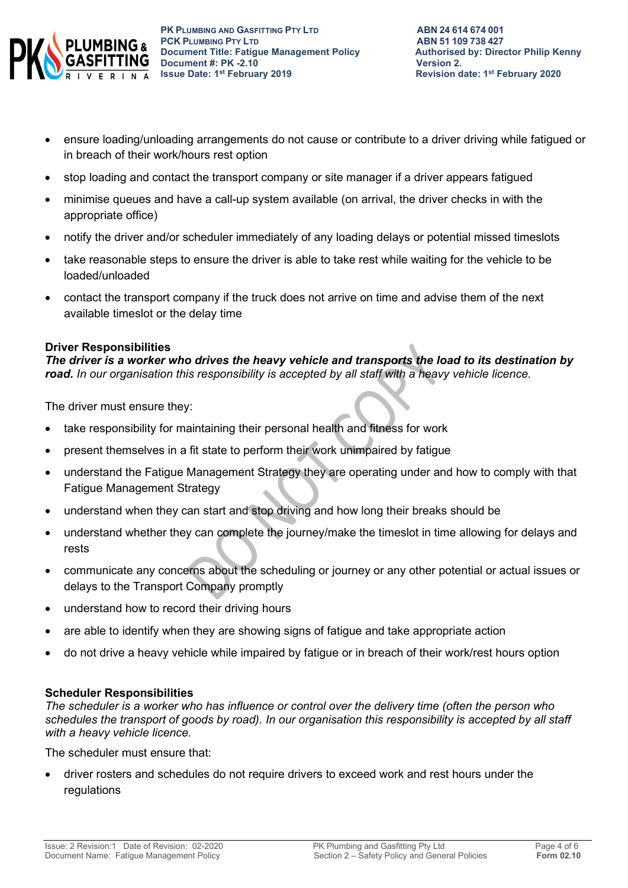

- ensure loading/unloading arrangements do not cause or contribute to a driver driving while fatigued or in breach of their work/hours rest option
- stop loading and contact the transport company or site manager if a driver appears fatigued
- minimise queues and have a call-up system available (on arrival, the driver checks in with the appropriate office)
- notify the driver and/or scheduler immediately of any loading delays or potential missed timeslots
- take reasonable steps to ensure the driver is able to take rest while waiting for the vehicle to be loaded/unloaded
- contact the transport company if the truck does not arrive on time and advise them of the next available timeslot or the delay time

#### **Driver Responsibilities**

*The driver is a worker who drives the heavy vehicle and transports the load to its destination by road. In our organisation this responsibility is accepted by all staff with a heavy vehicle licence.*

The driver must ensure they:

- take responsibility for maintaining their personal health and fitness for work
- present themselves in a fit state to perform their work unimpaired by fatigue
- understand the Fatigue Management Strategy they are operating under and how to comply with that Fatigue Management Strategy
- understand when they can start and stop driving and how long their breaks should be
- understand whether they can complete the journey/make the timeslot in time allowing for delays and rests
- communicate any concerns about the scheduling or journey or any other potential or actual issues or delays to the Transport Company promptly
- understand how to record their driving hours
- are able to identify when they are showing signs of fatigue and take appropriate action
- do not drive a heavy vehicle while impaired by fatigue or in breach of their work/rest hours option

#### **Scheduler Responsibilities**

*The scheduler is a worker who has influence or control over the delivery time (often the person who schedules the transport of goods by road). In our organisation this responsibility is accepted by all staff with a heavy vehicle licence.*

The scheduler must ensure that:

• driver rosters and schedules do not require drivers to exceed work and rest hours under the regulations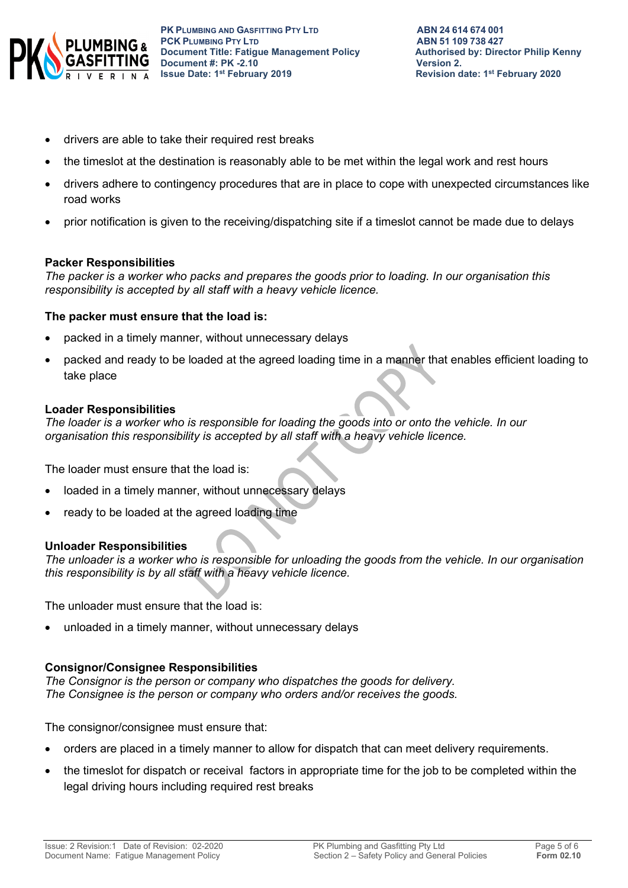

- drivers are able to take their required rest breaks
- the timeslot at the destination is reasonably able to be met within the legal work and rest hours
- drivers adhere to contingency procedures that are in place to cope with unexpected circumstances like road works
- prior notification is given to the receiving/dispatching site if a timeslot cannot be made due to delays

#### **Packer Responsibilities**

*The packer is a worker who packs and prepares the goods prior to loading. In our organisation this responsibility is accepted by all staff with a heavy vehicle licence.*

#### **The packer must ensure that the load is:**

- packed in a timely manner, without unnecessary delays
- packed and ready to be loaded at the agreed loading time in a manner that enables efficient loading to take place

#### **Loader Responsibilities**

*The loader is a worker who is responsible for loading the goods into or onto the vehicle. In our organisation this responsibility is accepted by all staff with a heavy vehicle licence.*

The loader must ensure that the load is:

- loaded in a timely manner, without unnecessary delays
- ready to be loaded at the agreed loading time

#### **Unloader Responsibilities**

*The unloader is a worker who is responsible for unloading the goods from the vehicle. In our organisation this responsibility is by all staff with a heavy vehicle licence.*

The unloader must ensure that the load is:

unloaded in a timely manner, without unnecessary delays

### **Consignor/Consignee Responsibilities**

*The Consignor is the person or company who dispatches the goods for delivery. The Consignee is the person or company who orders and/or receives the goods.* 

The consignor/consignee must ensure that:

- orders are placed in a timely manner to allow for dispatch that can meet delivery requirements.
- the timeslot for dispatch or receival factors in appropriate time for the job to be completed within the legal driving hours including required rest breaks